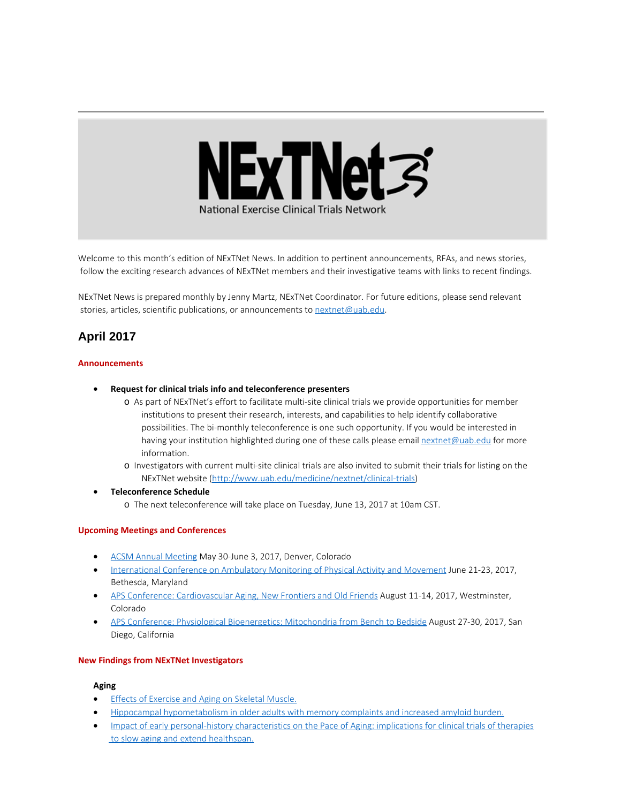

Welcome to this month's edition of NExTNet News. In addition to pertinent announcements, RFAs, and news stories, follow the exciting research advances of NExTNet members and their investigative teams with links to recent findings.

NExTNet News is prepared monthly by Jenny Martz, NExTNet Coordinator. For future editions, please send relevant stories, articles, scientific publications, or announcements to [nextnet@uab.edu](mailto:nextnet@uab.edu).

# **April 2017**

#### **Announcements**

- · **Request for clinical trials info and teleconference presenters**
	- o As part of NExTNet's effort to facilitate multi-site clinical trials we provide opportunities for member institutions to present their research, interests, and capabilities to help identify collaborative possibilities. The bi-monthly teleconference is one such opportunity. If you would be interested in having your institution highlighted during one of these calls please email [nextnet@uab.edu](mailto:nextnet@uab.edu) for more information.
	- o Investigators with current multi-site clinical trials are also invited to submit their trials for listing on the NExTNet website [\(http://www.uab.edu/medicine/nextnet/clinical-trials](http://www.uab.edu/medicine/nextnet/clinical-trials))
- · **Teleconference Schedule**
	- o The next teleconference will take place on Tuesday, June 13, 2017 at 10am CST.

#### **Upcoming Meetings and Conferences**

- [ACSM Annual Meeting](http://www.acsm.org/attend-a-meeting/annual-meeting) May 30-June 3, 2017, Denver, Colorado
- [International Conference on Ambulatory Monitoring of Physical Activity and Movement](http://www.ismpb.org/2017-bethesda/) June 21-23, 2017, Bethesda, Maryland
- · [APS Conference: Cardiovascular Aging, New Frontiers and Old Friends](http://www.the-aps.org/mm/Conferences/APS-Conferences/2017-Conferences/CV-Aging) August 11-14, 2017, Westminster, Colorado
- [APS Conference: Physiological Bioenergetics: Mitochondria from Bench to Bedside](http://www.the-aps.org/mm/Conferences/APS-Conferences/2017-Conferences/Bioenergetics) August 27-30, 2017, San Diego, California

#### **New Findings from NExTNet Investigators**

#### **Aging**

- **[Effects of Exercise and Aging on Skeletal Muscle.](http://www.ncbi.nlm.nih.gov/pubmed/28432116)**
- · [Hippocampal hypometabolism in older adults with memory complaints and increased amyloid burden.](https://www.ncbi.nlm.nih.gov/pubmed/28381517)
- [Impact of early personal-history characteristics on the Pace of Aging: implications for clinical trials of therapies](https://www.ncbi.nlm.nih.gov/pubmed/28401731) [to slow aging and extend healthspan.](https://www.ncbi.nlm.nih.gov/pubmed/28401731)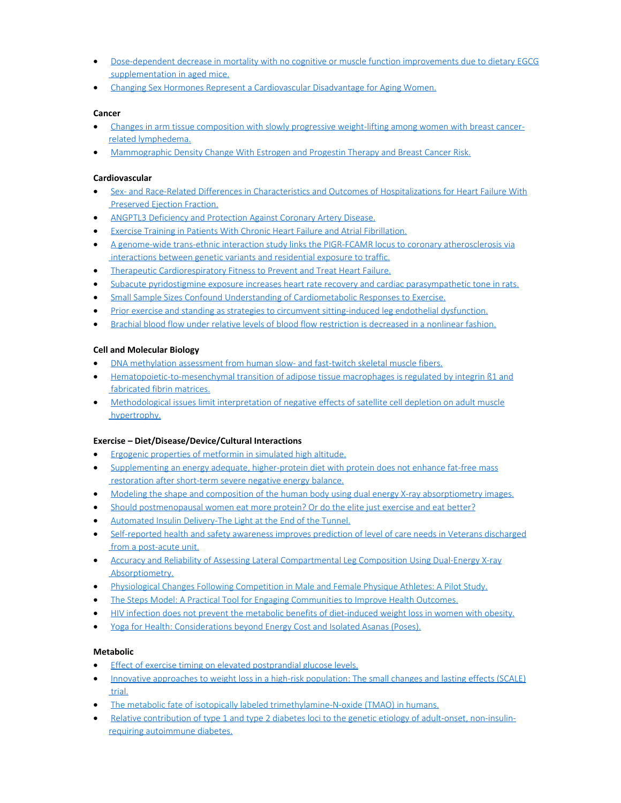- · [Dose-dependent decrease in mortality with no cognitive or muscle function improvements due to dietary EGCG](https://www.ncbi.nlm.nih.gov/pubmed/28177724) [supplementation in aged mice.](https://www.ncbi.nlm.nih.gov/pubmed/28177724)
- · [Changing Sex Hormones Represent a Cardiovascular Disadvantage for Aging Women.](https://www.ncbi.nlm.nih.gov/pubmed/28306677)

#### **Cancer**

- · [Changes in arm tissue composition with slowly progressive weight-lifting among women with breast cancer](http://www.ncbi.nlm.nih.gov/pubmed/28391397)[related lymphedema.](http://www.ncbi.nlm.nih.gov/pubmed/28391397)
- · [Mammographic Density Change With Estrogen and Progestin Therapy and Breast Cancer Risk.](https://www.ncbi.nlm.nih.gov/pubmed/28376149)

### **Cardiovascular**

- · [Sex- and Race-Related Differences in Characteristics and Outcomes of Hospitalizations for Heart Failure With](https://www.ncbi.nlm.nih.gov/pubmed/28356281) [Preserved Ejection Fraction.](https://www.ncbi.nlm.nih.gov/pubmed/28356281)
- · [ANGPTL3 Deficiency and Protection Against Coronary Artery Disease.](https://www.ncbi.nlm.nih.gov/pubmed/28385496)
- [Exercise Training in Patients With Chronic Heart Failure and Atrial Fibrillation.](https://www.ncbi.nlm.nih.gov/pubmed/28359513)
- [A genome-wide trans-ethnic interaction study links the PIGR-FCAMR locus to coronary atherosclerosis via](https://www.ncbi.nlm.nih.gov/pubmed/28355232) [interactions between genetic variants and residential exposure to traffic.](https://www.ncbi.nlm.nih.gov/pubmed/28355232)
- · [Therapeutic Cardiorespiratory Fitness to Prevent and Treat Heart Failure.](https://www.ncbi.nlm.nih.gov/pubmed/28396039)
- [Subacute pyridostigmine exposure increases heart rate recovery and cardiac parasympathetic tone in rats.](https://www.ncbi.nlm.nih.gov/pubmed/28440910)
- [Small Sample Sizes Confound Understanding of Cardiometabolic Responses to Exercise.](https://www.ncbi.nlm.nih.gov/pubmed/28419004)
- · [Prior exercise and standing as strategies to circumvent sitting-induced leg endothelial dysfunction.](https://www.ncbi.nlm.nih.gov/pubmed/28385735)
- [Brachial blood flow under relative levels of blood flow restriction is decreased in a nonlinear fashion.](https://www.ncbi.nlm.nih.gov/pubmed/28402045)

## **Cell and Molecular Biology**

- [DNA methylation assessment from human slow- and fast-twitch skeletal muscle fibers.](https://www.ncbi.nlm.nih.gov/pubmed/28057818)
- · [Hematopoietic-to-mesenchymal transition of adipose tissue macrophages is regulated by integrin β1 and](https://www.ncbi.nlm.nih.gov/pubmed/28441086) [fabricated fibrin matrices.](https://www.ncbi.nlm.nih.gov/pubmed/28441086)
- · [Methodological issues limit interpretation of negative effects of satellite cell depletion on adult muscle](https://www.ncbi.nlm.nih.gov/pubmed/28400431) [hypertrophy.](https://www.ncbi.nlm.nih.gov/pubmed/28400431)

#### **Exercise – Diet/Disease/Device/Cultural Interactions**

- · [Ergogenic properties of metformin in simulated high altitude.](https://www.ncbi.nlm.nih.gov/pubmed/28394459)
- [Supplementing an energy adequate, higher-protein diet with protein does not enhance fat-free mass](https://www.ncbi.nlm.nih.gov/pubmed/28385919) [restoration after short-term severe negative energy balance.](https://www.ncbi.nlm.nih.gov/pubmed/28385919)
- [Modeling the shape and composition of the human body using dual energy X-ray absorptiometry images.](https://www.ncbi.nlm.nih.gov/pubmed/28423041)
- [Should postmenopausal women eat more protein? Or do the elite just exercise and eat better?](https://www.ncbi.nlm.nih.gov/pubmed/28419066)
- · [Automated Insulin Delivery-The Light at the End of the Tunnel.](https://www.ncbi.nlm.nih.gov/pubmed/28396030)
- [Self-reported health and safety awareness improves prediction of level of care needs in Veterans discharged](https://www.ncbi.nlm.nih.gov/pubmed/28400222) [from a post-acute unit.](https://www.ncbi.nlm.nih.gov/pubmed/28400222)
- · [Accuracy and Reliability of Assessing Lateral Compartmental Leg Composition Using Dual-Energy X-ray](https://www.ncbi.nlm.nih.gov/pubmed/28306643) [Absorptiometry.](https://www.ncbi.nlm.nih.gov/pubmed/28306643)
- · [Physiological Changes Following Competition in Male and Female Physique Athletes: A Pilot Study.](https://www.ncbi.nlm.nih.gov/pubmed/28422530)
- · [The Steps Model: A Practical Tool for Engaging Communities to Improve Health Outcomes.](https://www.ncbi.nlm.nih.gov/pubmed/28379936)
- · [HIV infection does not prevent the metabolic benefits of diet-induced weight loss in women with obesity.](https://www.ncbi.nlm.nih.gov/pubmed/28245099)
- · [Yoga for Health: Considerations beyond Energy Cost and Isolated Asanas \(Poses\).](https://www.ncbi.nlm.nih.gov/pubmed/28306644)

# **Metabolic**

- [Effect of exercise timing on elevated postprandial glucose levels.](http://www.ncbi.nlm.nih.gov/pubmed/28408695)
- · [Innovative approaches to weight loss in a high-risk population: The small changes and lasting effects \(SCALE\)](https://www.ncbi.nlm.nih.gov/pubmed/28382755) [trial.](https://www.ncbi.nlm.nih.gov/pubmed/28382755)
- · [The metabolic fate of isotopically labeled trimethylamine-N-oxide \(TMAO\) in humans.](https://www.ncbi.nlm.nih.gov/pubmed/28433924)
- · [Relative contribution of type 1 and type 2 diabetes loci to the genetic etiology of adult-onset, non-insulin](https://www.ncbi.nlm.nih.gov/pubmed/28438156)[requiring autoimmune diabetes.](https://www.ncbi.nlm.nih.gov/pubmed/28438156)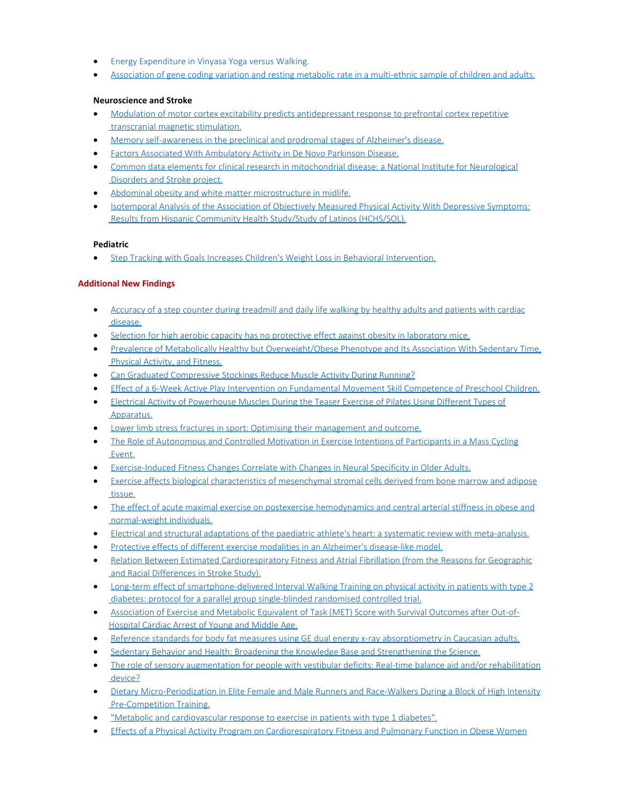- · [Energy Expenditure in Vinyasa Yoga versus Walking.](https://www.ncbi.nlm.nih.gov/pubmed/28422589)
- · [Association of gene coding variation and resting metabolic rate in a multi-ethnic sample of children and adults.](https://www.ncbi.nlm.nih.gov/pubmed/28417008)

#### **Neuroscience and Stroke**

- · [Modulation of motor cortex excitability predicts antidepressant response to prefrontal cortex repetitive](https://www.ncbi.nlm.nih.gov/pubmed/28438543) [transcranial magnetic stimulation.](https://www.ncbi.nlm.nih.gov/pubmed/28438543)
- · [Memory self-awareness in the preclinical and prodromal stages of Alzheimer's disease.](https://www.ncbi.nlm.nih.gov/pubmed/28385579)
- **[Factors Associated With Ambulatory Activity in De Novo Parkinson Disease.](https://www.ncbi.nlm.nih.gov/pubmed/28263256)**
- · [Common data elements for clinical research in mitochondrial disease: a National Institute for Neurological](https://www.ncbi.nlm.nih.gov/pubmed/28303425) [Disorders and Stroke project.](https://www.ncbi.nlm.nih.gov/pubmed/28303425)
- [Abdominal obesity and white matter microstructure in midlife.](https://www.ncbi.nlm.nih.gov/pubmed/28390146)
- · [Isotemporal Analysis of the Association of Objectively Measured Physical Activity With Depressive Symptoms:](https://www.ncbi.nlm.nih.gov/pubmed/28422609) [Results from Hispanic Community Health Study/Study of Latinos \(HCHS/SOL\).](https://www.ncbi.nlm.nih.gov/pubmed/28422609)

#### **Pediatric**

· [Step Tracking with Goals Increases Children's Weight Loss in Behavioral Intervention.](https://www.ncbi.nlm.nih.gov/pubmed/28440662)

#### **Additional New Findings**

- · [Accuracy of a step counter during treadmill and daily life walking by healthy adults and patients with cardiac](http://www.ncbi.nlm.nih.gov/pubmed/28363918) [disease.](http://www.ncbi.nlm.nih.gov/pubmed/28363918)
- [Selection for high aerobic capacity has no protective effect against obesity in laboratory mice.](http://www.ncbi.nlm.nih.gov/pubmed/28363839)
- · [Prevalence of Metabolically Healthy but Overweight/Obese Phenotype and Its Association With Sedentary Time,](http://www.ncbi.nlm.nih.gov/pubmed/28363717) [Physical Activity, and Fitness.](http://www.ncbi.nlm.nih.gov/pubmed/28363717)
- · [Can Graduated Compressive Stockings Reduce Muscle Activity During Running?](http://www.ncbi.nlm.nih.gov/pubmed/28362217)
- · [Effect of a 6-Week Active Play Intervention on Fundamental Movement Skill Competence of Preschool Children.](http://www.ncbi.nlm.nih.gov/pubmed/28361654)
- [Electrical Activity of Powerhouse Muscles During the Teaser Exercise of Pilates Using Different Types of](http://www.ncbi.nlm.nih.gov/pubmed/28361652) [Apparatus.](http://www.ncbi.nlm.nih.gov/pubmed/28361652)
- [Lower limb stress fractures in sport: Optimising their management and outcome.](http://www.ncbi.nlm.nih.gov/pubmed/28361017)
- [The Role of Autonomous and Controlled Motivation in Exercise Intentions of Participants in a Mass Cycling](http://www.ncbi.nlm.nih.gov/pubmed/28360871) [Event.](http://www.ncbi.nlm.nih.gov/pubmed/28360871)
- · [Exercise-Induced Fitness Changes Correlate with Changes in Neural Specificity in Older Adults.](http://www.ncbi.nlm.nih.gov/pubmed/28360850)
- · [Exercise affects biological characteristics of mesenchymal stromal cells derived from bone marrow and adipose](http://www.ncbi.nlm.nih.gov/pubmed/28364139) [tissue.](http://www.ncbi.nlm.nih.gov/pubmed/28364139)
- · [The effect of acute maximal exercise on postexercise hemodynamics and central arterial stiffness in obese and](http://www.ncbi.nlm.nih.gov/pubmed/28364031) [normal-weight individuals.](http://www.ncbi.nlm.nih.gov/pubmed/28364031)
- · [Electrical and structural adaptations of the paediatric athlete's heart: a systematic review with meta-analysis.](http://www.ncbi.nlm.nih.gov/pubmed/28363973)
- · [Protective effects of different exercise modalities in an Alzheimer's disease-like model.](http://www.ncbi.nlm.nih.gov/pubmed/28390878)
- · [Relation Between Estimated Cardiorespiratory Fitness and Atrial Fibrillation \(from the Reasons for Geographic](http://www.ncbi.nlm.nih.gov/pubmed/28390681) [and Racial Differences in Stroke Study\).](http://www.ncbi.nlm.nih.gov/pubmed/28390681)
- [Long-term effect of smartphone-delivered Interval Walking Training on physical activity in patients with type 2](http://www.ncbi.nlm.nih.gov/pubmed/28389489) [diabetes: protocol for a parallel group single-blinded randomised controlled trial.](http://www.ncbi.nlm.nih.gov/pubmed/28389489)
- · [Association of Exercise and Metabolic Equivalent of Task \(MET\) Score with Survival Outcomes after Out-of-](http://www.ncbi.nlm.nih.gov/pubmed/28389240)[Hospital Cardiac Arrest of Young and Middle Age.](http://www.ncbi.nlm.nih.gov/pubmed/28389240)
- · [Reference standards for body fat measures using GE dual energy x-ray absorptiometry in Caucasian adults.](http://www.ncbi.nlm.nih.gov/pubmed/28388669)
- [Sedentary Behavior and Health: Broadening the Knowledge Base and Strengthening the Science.](http://www.ncbi.nlm.nih.gov/pubmed/28388362)
- [The role of sensory augmentation for people with vestibular deficits: Real-time balance aid and/or rehabilitation](http://www.ncbi.nlm.nih.gov/pubmed/28387692) [device?](http://www.ncbi.nlm.nih.gov/pubmed/28387692)
- · [Dietary Micro-Periodization in Elite Female and Male Runners and Race-Walkers During a Block of High Intensity](http://www.ncbi.nlm.nih.gov/pubmed/28387576) [Pre-Competition Training.](http://www.ncbi.nlm.nih.gov/pubmed/28387576)
- · ["Metabolic and cardiovascular response to exercise in patients with type 1 diabetes".](http://www.ncbi.nlm.nih.gov/pubmed/28386795)
- **[Effects of a Physical Activity Program on Cardiorespiratory Fitness and Pulmonary Function in Obese Women](http://www.ncbi.nlm.nih.gov/pubmed/28386756)**